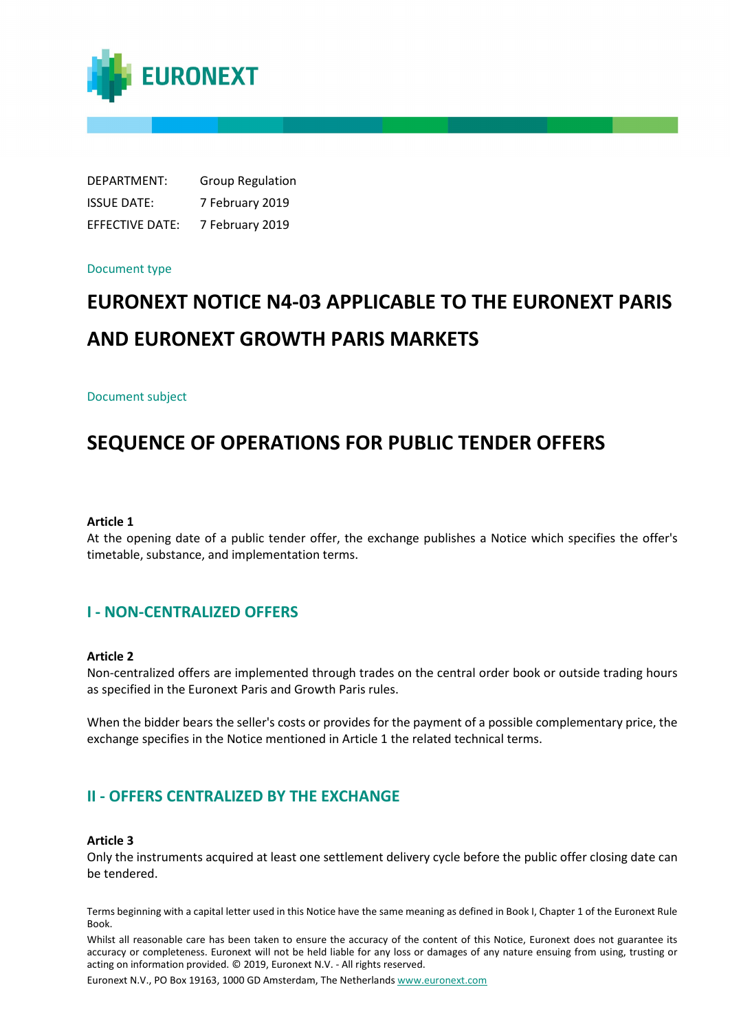

DEPARTMENT: Group Regulation ISSUE DATE: 7 February 2019 EFFECTIVE DATE: 7 February 2019

#### Document type

# **EURONEXT NOTICE N4-03 APPLICABLE TO THE EURONEXT PARIS AND EURONEXT GROWTH PARIS MARKETS**

#### Document subject

# **SEQUENCE OF OPERATIONS FOR PUBLIC TENDER OFFERS**

#### **Article 1**

At the opening date of a public tender offer, the exchange publishes a Notice which specifies the offer's timetable, substance, and implementation terms.

# **I - NON-CENTRALIZED OFFERS**

#### **Article 2**

Non-centralized offers are implemented through trades on the central order book or outside trading hours as specified in the Euronext Paris and Growth Paris rules.

When the bidder bears the seller's costs or provides for the payment of a possible complementary price, the exchange specifies in the Notice mentioned in Article 1 the related technical terms.

# **II - OFFERS CENTRALIZED BY THE EXCHANGE**

#### **Article 3**

Only the instruments acquired at least one settlement delivery cycle before the public offer closing date can be tendered.

Terms beginning with a capital letter used in this Notice have the same meaning as defined in Book I, Chapter 1 of the Euronext Rule Book.

Whilst all reasonable care has been taken to ensure the accuracy of the content of this Notice, Euronext does not guarantee its accuracy or completeness. Euronext will not be held liable for any loss or damages of any nature ensuing from using, trusting or acting on information provided. © 2019, Euronext N.V. - All rights reserved.

Euronext N.V., PO Box 19163, 1000 GD Amsterdam, The Netherlands [www.euronext.com](http://www.euronext.com/)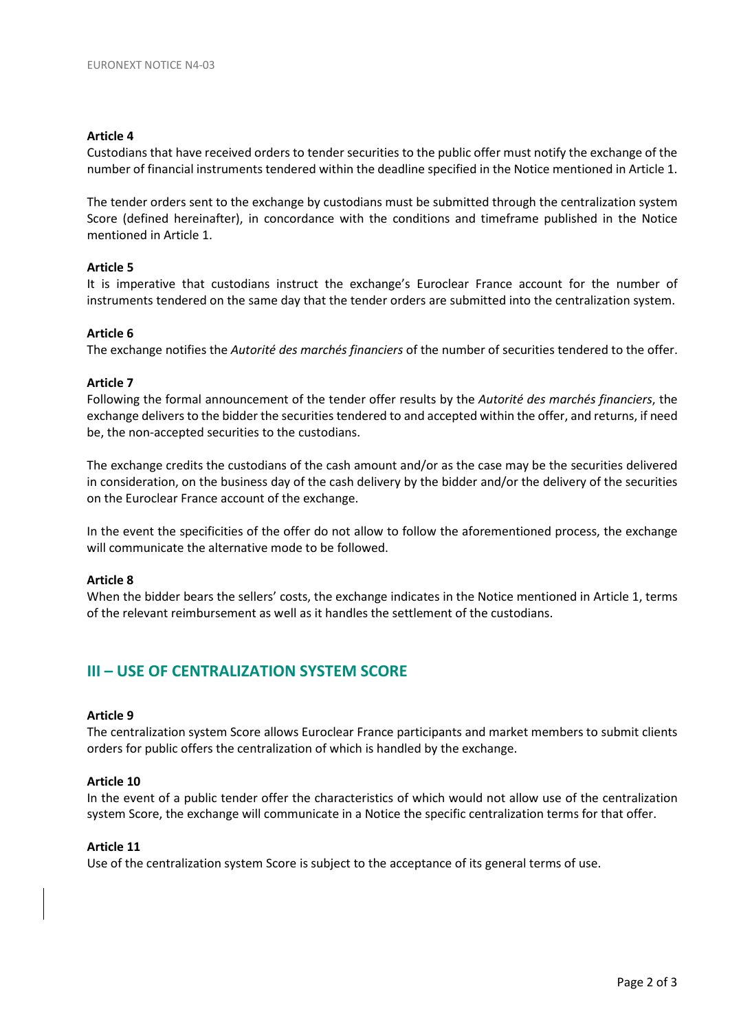#### **Article 4**

Custodians that have received orders to tender securities to the public offer must notify the exchange of the number of financial instruments tendered within the deadline specified in the Notice mentioned in Article 1.

The tender orders sent to the exchange by custodians must be submitted through the centralization system Score (defined hereinafter), in concordance with the conditions and timeframe published in the Notice mentioned in Article 1.

#### **Article 5**

It is imperative that custodians instruct the exchange's Euroclear France account for the number of instruments tendered on the same day that the tender orders are submitted into the centralization system.

#### **Article 6**

The exchange notifies the *Autorité des marchés financiers* of the number of securities tendered to the offer.

#### **Article 7**

Following the formal announcement of the tender offer results by the *Autorité des marchés financiers*, the exchange delivers to the bidder the securities tendered to and accepted within the offer, and returns, if need be, the non-accepted securities to the custodians.

The exchange credits the custodians of the cash amount and/or as the case may be the securities delivered in consideration, on the business day of the cash delivery by the bidder and/or the delivery of the securities on the Euroclear France account of the exchange.

In the event the specificities of the offer do not allow to follow the aforementioned process, the exchange will communicate the alternative mode to be followed.

#### **Article 8**

When the bidder bears the sellers' costs, the exchange indicates in the Notice mentioned in Article 1, terms of the relevant reimbursement as well as it handles the settlement of the custodians.

# **III – USE OF CENTRALIZATION SYSTEM SCORE**

#### **Article 9**

The centralization system Score allows Euroclear France participants and market members to submit clients orders for public offers the centralization of which is handled by the exchange.

#### **Article 10**

In the event of a public tender offer the characteristics of which would not allow use of the centralization system Score, the exchange will communicate in a Notice the specific centralization terms for that offer.

#### **Article 11**

Use of the centralization system Score is subject to the acceptance of its general terms of use.